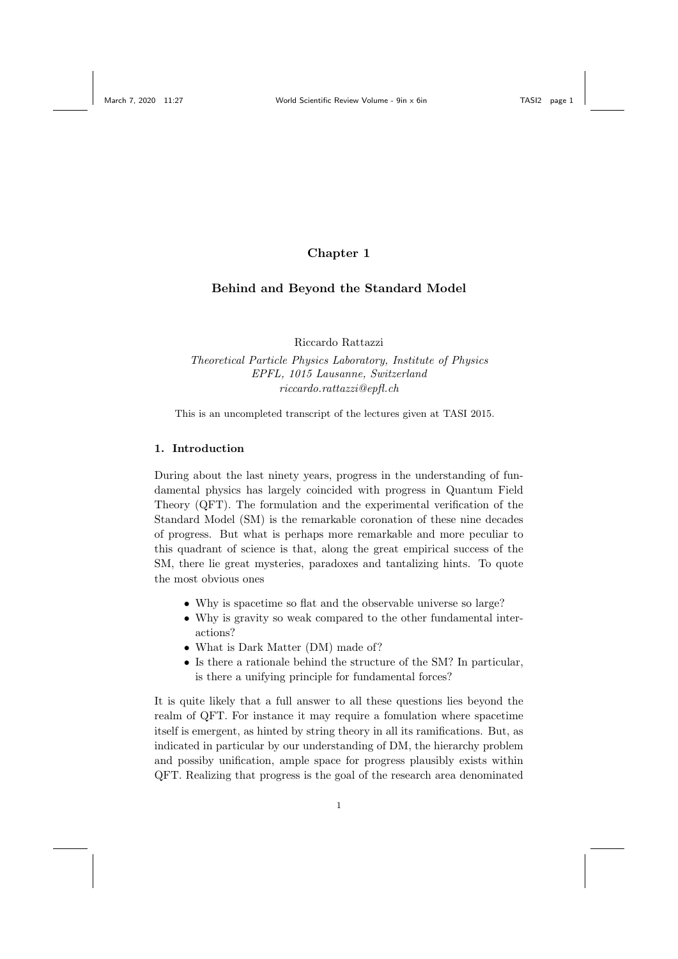# Chapter 1

# Behind and Beyond the Standard Model

Riccardo Rattazzi

Theoretical Particle Physics Laboratory, Institute of Physics EPFL, 1015 Lausanne, Switzerland riccardo.rattazzi@epfl.ch

This is an uncompleted transcript of the lectures given at TASI 2015.

# 1. Introduction

During about the last ninety years, progress in the understanding of fundamental physics has largely coincided with progress in Quantum Field Theory (QFT). The formulation and the experimental verification of the Standard Model (SM) is the remarkable coronation of these nine decades of progress. But what is perhaps more remarkable and more peculiar to this quadrant of science is that, along the great empirical success of the SM, there lie great mysteries, paradoxes and tantalizing hints. To quote the most obvious ones

- Why is spacetime so flat and the observable universe so large?
- Why is gravity so weak compared to the other fundamental interactions?
- What is Dark Matter (DM) made of?
- Is there a rationale behind the structure of the SM? In particular, is there a unifying principle for fundamental forces?

It is quite likely that a full answer to all these questions lies beyond the realm of QFT. For instance it may require a fomulation where spacetime itself is emergent, as hinted by string theory in all its ramifications. But, as indicated in particular by our understanding of DM, the hierarchy problem and possiby unification, ample space for progress plausibly exists within QFT. Realizing that progress is the goal of the research area denominated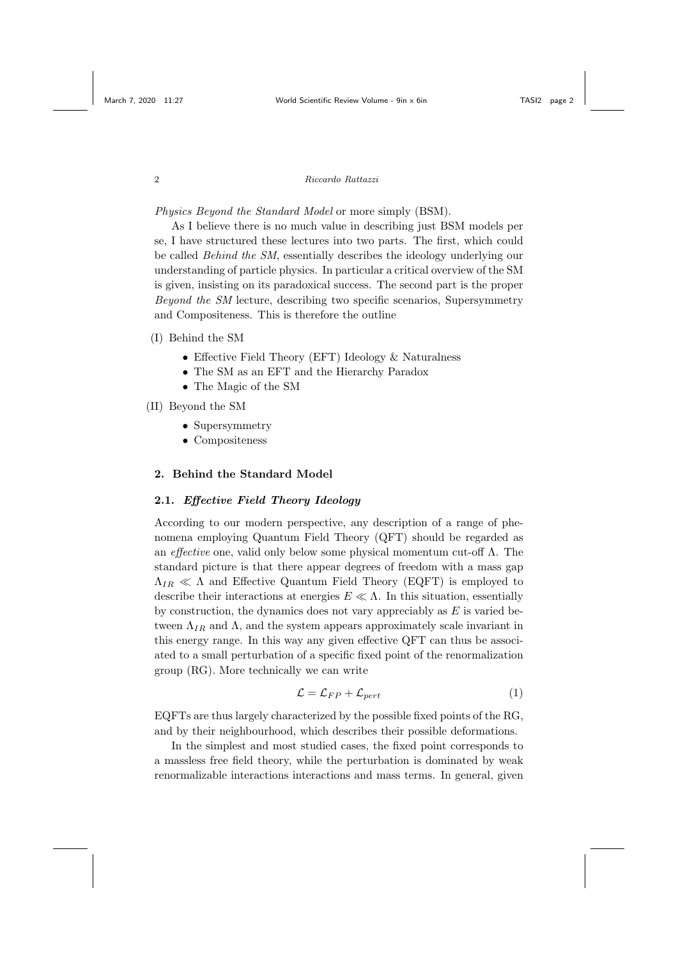Physics Beyond the Standard Model or more simply (BSM).

As I believe there is no much value in describing just BSM models per se, I have structured these lectures into two parts. The first, which could be called Behind the SM, essentially describes the ideology underlying our understanding of particle physics. In particular a critical overview of the SM is given, insisting on its paradoxical success. The second part is the proper Beyond the SM lecture, describing two specific scenarios, Supersymmetry and Compositeness. This is therefore the outline

## (I) Behind the SM

- Effective Field Theory (EFT) Ideology & Naturalness
- The SM as an EFT and the Hierarchy Paradox
- The Magic of the SM
- (II) Beyond the SM
	- Supersymmetry
	- Compositeness

# 2. Behind the Standard Model

# 2.1. Effective Field Theory Ideology

According to our modern perspective, any description of a range of phenomena employing Quantum Field Theory (QFT) should be regarded as an *effective* one, valid only below some physical momentum cut-off  $\Lambda$ . The standard picture is that there appear degrees of freedom with a mass gap  $\Lambda_{IR} \ll \Lambda$  and Effective Quantum Field Theory (EQFT) is employed to describe their interactions at energies  $E \ll \Lambda$ . In this situation, essentially by construction, the dynamics does not vary appreciably as  $E$  is varied between  $\Lambda_{IR}$  and  $\Lambda$ , and the system appears approximately scale invariant in this energy range. In this way any given effective QFT can thus be associated to a small perturbation of a specific fixed point of the renormalization group (RG). More technically we can write

$$
\mathcal{L} = \mathcal{L}_{FP} + \mathcal{L}_{pert} \tag{1}
$$

EQFTs are thus largely characterized by the possible fixed points of the RG, and by their neighbourhood, which describes their possible deformations.

In the simplest and most studied cases, the fixed point corresponds to a massless free field theory, while the perturbation is dominated by weak renormalizable interactions interactions and mass terms. In general, given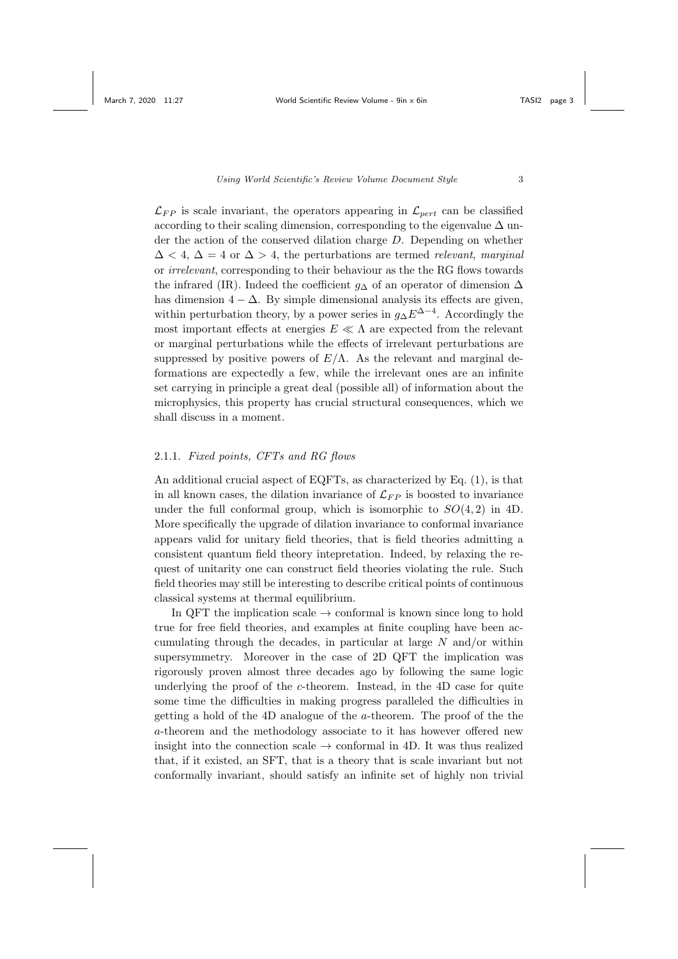$\mathcal{L}_{FP}$  is scale invariant, the operators appearing in  $\mathcal{L}_{pert}$  can be classified according to their scaling dimension, corresponding to the eigenvalue  $\Delta$  under the action of the conserved dilation charge D. Depending on whether  $\Delta$  < 4,  $\Delta$  = 4 or  $\Delta$  > 4, the perturbations are termed relevant, marginal or irrelevant, corresponding to their behaviour as the the RG flows towards the infrared (IR). Indeed the coefficient  $g_{\Delta}$  of an operator of dimension  $\Delta$ has dimension  $4 - \Delta$ . By simple dimensional analysis its effects are given, within perturbation theory, by a power series in  $g_{\Delta} E^{\Delta-4}$ . Accordingly the most important effects at energies  $E \ll \Lambda$  are expected from the relevant or marginal perturbations while the effects of irrelevant perturbations are suppressed by positive powers of  $E/\Lambda$ . As the relevant and marginal deformations are expectedly a few, while the irrelevant ones are an infinite set carrying in principle a great deal (possible all) of information about the microphysics, this property has crucial structural consequences, which we shall discuss in a moment.

# 2.1.1. Fixed points, CFTs and RG flows

An additional crucial aspect of EQFTs, as characterized by Eq. (1), is that in all known cases, the dilation invariance of  $\mathcal{L}_{FP}$  is boosted to invariance under the full conformal group, which is isomorphic to  $SO(4,2)$  in 4D. More specifically the upgrade of dilation invariance to conformal invariance appears valid for unitary field theories, that is field theories admitting a consistent quantum field theory intepretation. Indeed, by relaxing the request of unitarity one can construct field theories violating the rule. Such field theories may still be interesting to describe critical points of continuous classical systems at thermal equilibrium.

In QFT the implication scale  $\rightarrow$  conformal is known since long to hold true for free field theories, and examples at finite coupling have been accumulating through the decades, in particular at large  $N$  and/or within supersymmetry. Moreover in the case of 2D QFT the implication was rigorously proven almost three decades ago by following the same logic underlying the proof of the  $c$ -theorem. Instead, in the 4D case for quite some time the difficulties in making progress paralleled the difficulties in getting a hold of the 4D analogue of the a-theorem. The proof of the the a-theorem and the methodology associate to it has however offered new insight into the connection scale  $\rightarrow$  conformal in 4D. It was thus realized that, if it existed, an SFT, that is a theory that is scale invariant but not conformally invariant, should satisfy an infinite set of highly non trivial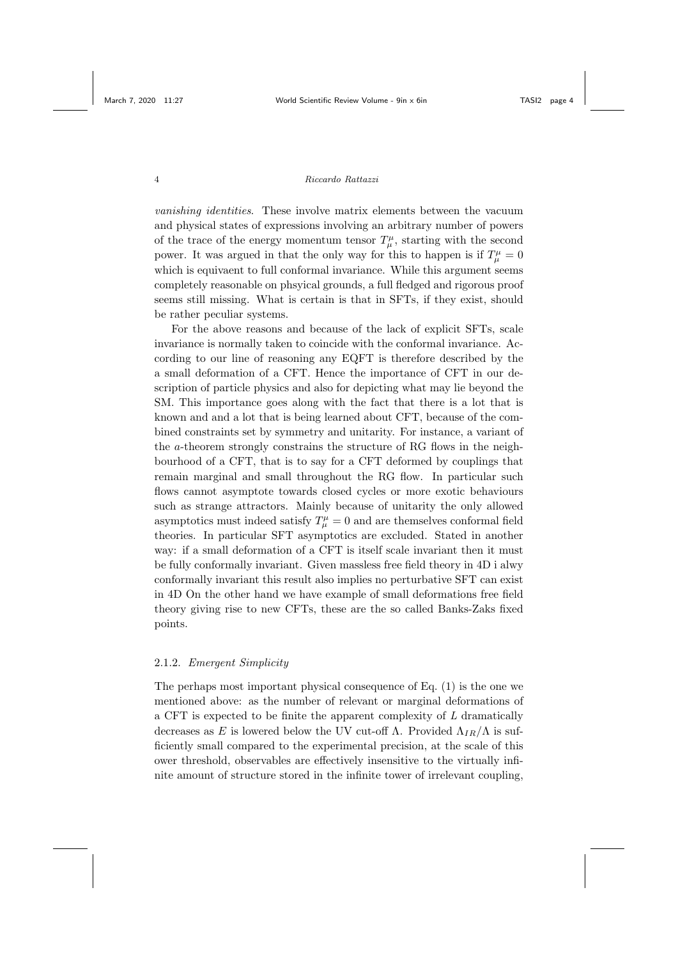vanishing identities. These involve matrix elements between the vacuum and physical states of expressions involving an arbitrary number of powers of the trace of the energy momentum tensor  $T^{\mu}_{\mu}$ , starting with the second power. It was argued in that the only way for this to happen is if  $T^{\mu}_{\mu} = 0$ which is equivaent to full conformal invariance. While this argument seems completely reasonable on phsyical grounds, a full fledged and rigorous proof seems still missing. What is certain is that in SFTs, if they exist, should be rather peculiar systems.

For the above reasons and because of the lack of explicit SFTs, scale invariance is normally taken to coincide with the conformal invariance. According to our line of reasoning any EQFT is therefore described by the a small deformation of a CFT. Hence the importance of CFT in our description of particle physics and also for depicting what may lie beyond the SM. This importance goes along with the fact that there is a lot that is known and and a lot that is being learned about CFT, because of the combined constraints set by symmetry and unitarity. For instance, a variant of the a-theorem strongly constrains the structure of RG flows in the neighbourhood of a CFT, that is to say for a CFT deformed by couplings that remain marginal and small throughout the RG flow. In particular such flows cannot asymptote towards closed cycles or more exotic behaviours such as strange attractors. Mainly because of unitarity the only allowed asymptotics must indeed satisfy  $T^{\mu}_{\mu} = 0$  and are themselves conformal field theories. In particular SFT asymptotics are excluded. Stated in another way: if a small deformation of a CFT is itself scale invariant then it must be fully conformally invariant. Given massless free field theory in 4D i alwy conformally invariant this result also implies no perturbative SFT can exist in 4D On the other hand we have example of small deformations free field theory giving rise to new CFTs, these are the so called Banks-Zaks fixed points.

### 2.1.2. Emergent Simplicity

The perhaps most important physical consequence of Eq. (1) is the one we mentioned above: as the number of relevant or marginal deformations of a CFT is expected to be finite the apparent complexity of L dramatically decreases as E is lowered below the UV cut-off  $\Lambda$ . Provided  $\Lambda_{IR}/\Lambda$  is sufficiently small compared to the experimental precision, at the scale of this ower threshold, observables are effectively insensitive to the virtually infinite amount of structure stored in the infinite tower of irrelevant coupling,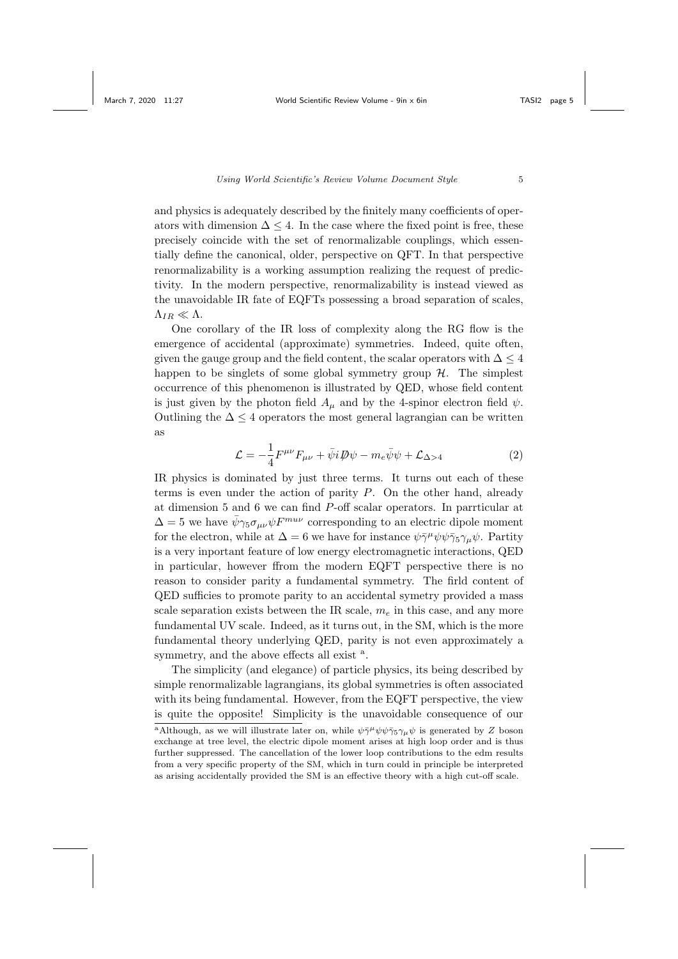and physics is adequately described by the finitely many coefficients of operators with dimension  $\Delta \leq 4$ . In the case where the fixed point is free, these precisely coincide with the set of renormalizable couplings, which essentially define the canonical, older, perspective on QFT. In that perspective renormalizability is a working assumption realizing the request of predictivity. In the modern perspective, renormalizability is instead viewed as the unavoidable IR fate of EQFTs possessing a broad separation of scales,  $\Lambda_{IR} \ll \Lambda$ .

One corollary of the IR loss of complexity along the RG flow is the emergence of accidental (approximate) symmetries. Indeed, quite often, given the gauge group and the field content, the scalar operators with  $\Delta \leq 4$ happen to be singlets of some global symmetry group  $H$ . The simplest occurrence of this phenomenon is illustrated by QED, whose field content is just given by the photon field  $A_\mu$  and by the 4-spinor electron field  $\psi$ . Outlining the  $\Delta \leq 4$  operators the most general lagrangian can be written as

$$
\mathcal{L} = -\frac{1}{4}F^{\mu\nu}F_{\mu\nu} + \bar{\psi}i\mathcal{D}\psi - m_e\bar{\psi}\psi + \mathcal{L}_{\Delta>4}
$$
 (2)

IR physics is dominated by just three terms. It turns out each of these terms is even under the action of parity P. On the other hand, already at dimension 5 and 6 we can find P-off scalar operators. In parrticular at  $\Delta = 5$  we have  $\bar{\psi} \gamma_5 \sigma_{\mu\nu} \psi F^{m u \nu}$  corresponding to an electric dipole moment for the electron, while at  $\Delta = 6$  we have for instance  $\psi \bar{\gamma}^{\mu} \psi \psi \bar{\gamma}_5 \gamma_{\mu} \psi$ . Partity is a very inportant feature of low energy electromagnetic interactions, QED in particular, however ffrom the modern EQFT perspective there is no reason to consider parity a fundamental symmetry. The firld content of QED sufficies to promote parity to an accidental symetry provided a mass scale separation exists between the IR scale,  $m_e$  in this case, and any more fundamental UV scale. Indeed, as it turns out, in the SM, which is the more fundamental theory underlying QED, parity is not even approximately a symmetry, and the above effects all exist  $a$ .

The simplicity (and elegance) of particle physics, its being described by simple renormalizable lagrangians, its global symmetries is often associated with its being fundamental. However, from the EQFT perspective, the view is quite the opposite! Simplicity is the unavoidable consequence of our

<sup>&</sup>lt;sup>a</sup>Although, as we will illustrate later on, while  $\psi \bar{\gamma}^{\mu} \psi \psi \bar{\gamma}_5 \gamma_{\mu} \psi$  is generated by Z boson exchange at tree level, the electric dipole moment arises at high loop order and is thus further suppressed. The cancellation of the lower loop contributions to the edm results from a very specific property of the SM, which in turn could in principle be interpreted as arising accidentally provided the SM is an effective theory with a high cut-off scale.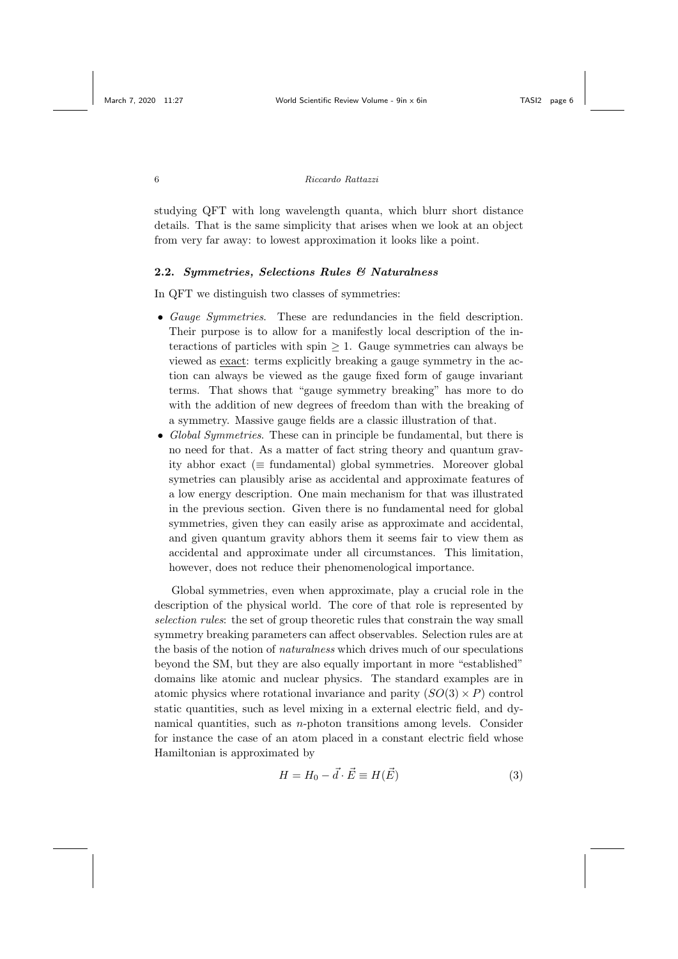studying QFT with long wavelength quanta, which blurr short distance details. That is the same simplicity that arises when we look at an object from very far away: to lowest approximation it looks like a point.

## 2.2. Symmetries, Selections Rules & Naturalness

In QFT we distinguish two classes of symmetries:

- Gauge Symmetries. These are redundancies in the field description. Their purpose is to allow for a manifestly local description of the interactions of particles with spin  $\geq 1$ . Gauge symmetries can always be viewed as exact: terms explicitly breaking a gauge symmetry in the action can always be viewed as the gauge fixed form of gauge invariant terms. That shows that "gauge symmetry breaking" has more to do with the addition of new degrees of freedom than with the breaking of a symmetry. Massive gauge fields are a classic illustration of that.
- Global Symmetries. These can in principle be fundamental, but there is no need for that. As a matter of fact string theory and quantum gravity abhor exact ( $\equiv$  fundamental) global symmetries. Moreover global symetries can plausibly arise as accidental and approximate features of a low energy description. One main mechanism for that was illustrated in the previous section. Given there is no fundamental need for global symmetries, given they can easily arise as approximate and accidental, and given quantum gravity abhors them it seems fair to view them as accidental and approximate under all circumstances. This limitation, however, does not reduce their phenomenological importance.

Global symmetries, even when approximate, play a crucial role in the description of the physical world. The core of that role is represented by selection rules: the set of group theoretic rules that constrain the way small symmetry breaking parameters can affect observables. Selection rules are at the basis of the notion of naturalness which drives much of our speculations beyond the SM, but they are also equally important in more "established" domains like atomic and nuclear physics. The standard examples are in atomic physics where rotational invariance and parity  $(SO(3) \times P)$  control static quantities, such as level mixing in a external electric field, and dynamical quantities, such as  $n$ -photon transitions among levels. Consider for instance the case of an atom placed in a constant electric field whose Hamiltonian is approximated by

$$
H = H_0 - \vec{d} \cdot \vec{E} \equiv H(\vec{E}) \tag{3}
$$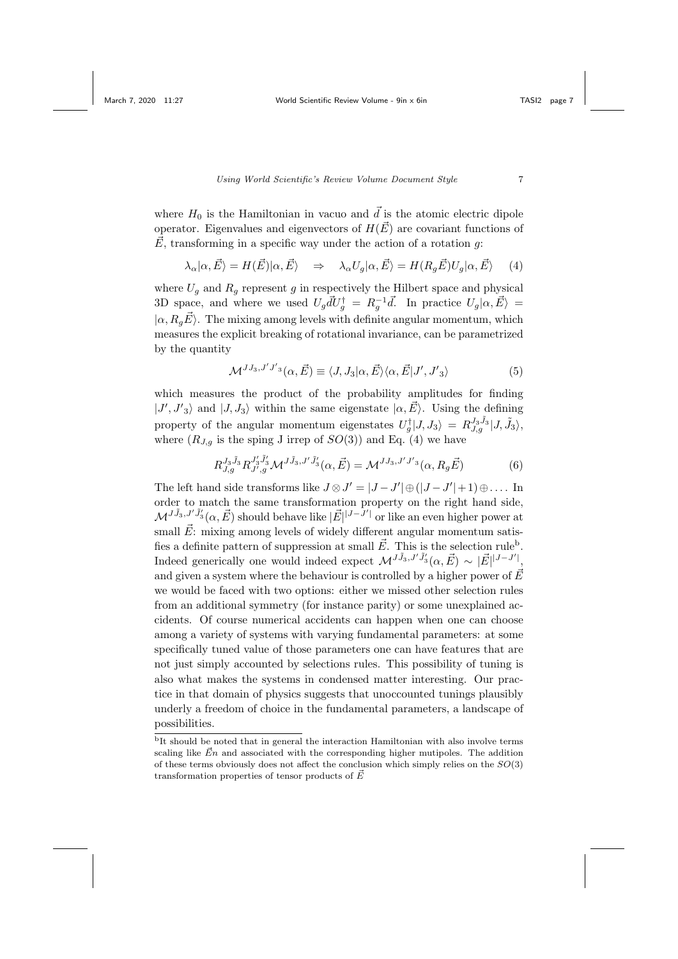where  $H_0$  is the Hamiltonian in vacuo and  $\vec{d}$  is the atomic electric dipole operator. Eigenvalues and eigenvectors of  $H(\vec{E})$  are covariant functions of  $\vec{E}$ , transforming in a specific way under the action of a rotation q:

$$
\lambda_{\alpha}|\alpha,\vec{E}\rangle = H(\vec{E})|\alpha,\vec{E}\rangle \Rightarrow \lambda_{\alpha}U_g|\alpha,\vec{E}\rangle = H(R_g\vec{E})U_g|\alpha,\vec{E}\rangle \quad (4)
$$

where  $U_g$  and  $R_g$  represent g in respectively the Hilbert space and physical 3D space, and where we used  $U_g dU_g^{\dagger} = R_g^{-1} d$ . In practice  $U_g |\alpha, \vec{E}\rangle =$  $|\alpha, R_a \vec{E}\rangle$ . The mixing among levels with definite angular momentum, which measures the explicit breaking of rotational invariance, can be parametrized by the quantity

$$
\mathcal{M}^{JJ_3,J'J'_3}(\alpha,\vec{E}) \equiv \langle J, J_3 | \alpha, \vec{E} \rangle \langle \alpha, \vec{E} | J', J'_3 \rangle \tag{5}
$$

which measures the product of the probability amplitudes for finding  $|J', J'_3\rangle$  and  $|J, J_3\rangle$  within the same eigenstate  $|\alpha, \vec{E}\rangle$ . Using the defining property of the angular momentum eigenstates  $U_g^{\dagger} | J, J_3\rangle = R_{J,g}^{J_3 \tilde{J}_3} | J, \tilde{J}_3\rangle$ , where  $(R_{J,g}$  is the sping J irrep of  $SO(3)$  and Eq. (4) we have

$$
R_{J,g}^{J_3\tilde{J}_3} R_{J',g}^{J'_3\tilde{J}'_3} \mathcal{M}^{J\tilde{J}_3,J'\tilde{J}'_3}(\alpha,\vec{E}) = \mathcal{M}^{JJ_3,J'J'3}(\alpha, R_g\vec{E})
$$
(6)

The left hand side transforms like  $J \otimes J' = |J - J'| \oplus (|J - J'| + 1) \oplus \dots$  In order to match the same transformation property on the right hand side,  $\mathcal{M}^{J\tilde{J}_3, J'\tilde{J}'_3}(\alpha, \vec{E})$  should behave like  $|\vec{E}|^{|J-J'|}$  or like an even higher power at small  $\vec{E}$ : mixing among levels of widely different angular momentum satisfies a definite pattern of suppression at small  $\vec{E}$ . This is the selection rule<sup>b</sup>. Indeed generically one would indeed expect  $\mathcal{M}^{J\tilde{J}_3,J'\tilde{J}'_3}(\alpha,\vec{E}) \sim |\vec{E}|^{|J-J'|},$ and given a system where the behaviour is controlled by a higher power of  $\vec{E}$ we would be faced with two options: either we missed other selection rules from an additional symmetry (for instance parity) or some unexplained accidents. Of course numerical accidents can happen when one can choose among a variety of systems with varying fundamental parameters: at some specifically tuned value of those parameters one can have features that are not just simply accounted by selections rules. This possibility of tuning is also what makes the systems in condensed matter interesting. Our practice in that domain of physics suggests that unoccounted tunings plausibly underly a freedom of choice in the fundamental parameters, a landscape of possibilities.

 $\overline{b}$ It should be noted that in general the interaction Hamiltonian with also involve terms scaling like  $\vec{E}n$  and associated with the corresponding higher mutipoles. The addition of these terms obviously does not affect the conclusion which simply relies on the  $SO(3)$ transformation properties of tensor products of  $\vec{E}$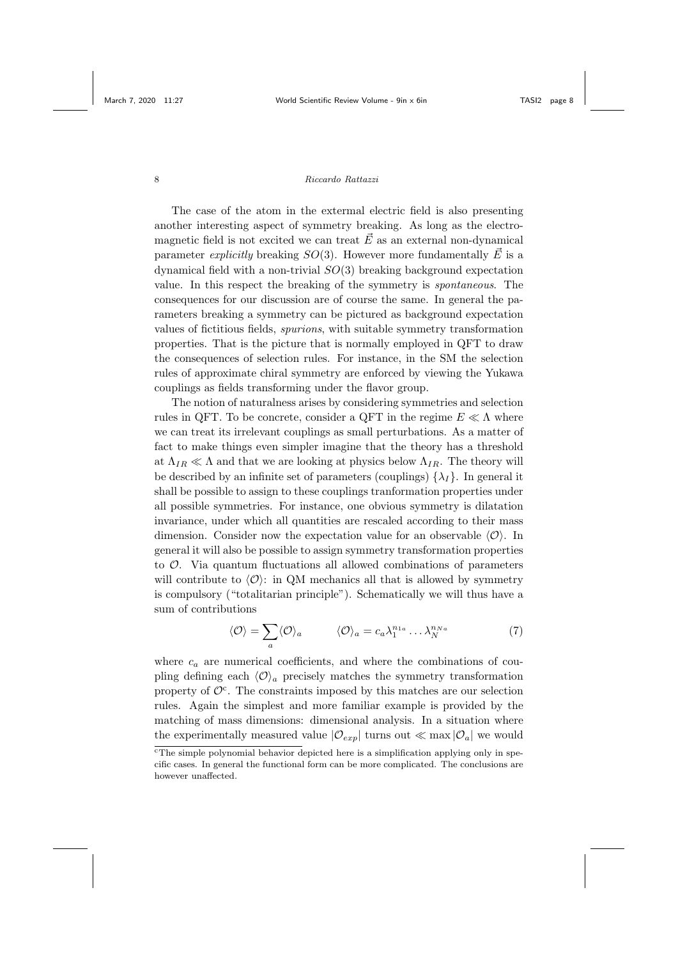The case of the atom in the extermal electric field is also presenting another interesting aspect of symmetry breaking. As long as the electromagnetic field is not excited we can treat  $\vec{E}$  as an external non-dynamical parameter *explicitly* breaking  $SO(3)$ . However more fundamentally  $\vec{E}$  is a dynamical field with a non-trivial  $SO(3)$  breaking background expectation value. In this respect the breaking of the symmetry is spontaneous. The consequences for our discussion are of course the same. In general the parameters breaking a symmetry can be pictured as background expectation values of fictitious fields, spurions, with suitable symmetry transformation properties. That is the picture that is normally employed in QFT to draw the consequences of selection rules. For instance, in the SM the selection rules of approximate chiral symmetry are enforced by viewing the Yukawa couplings as fields transforming under the flavor group.

The notion of naturalness arises by considering symmetries and selection rules in QFT. To be concrete, consider a QFT in the regime  $E \ll \Lambda$  where we can treat its irrelevant couplings as small perturbations. As a matter of fact to make things even simpler imagine that the theory has a threshold at  $\Lambda_{IR} \ll \Lambda$  and that we are looking at physics below  $\Lambda_{IR}$ . The theory will be described by an infinite set of parameters (couplings)  $\{\lambda_I\}$ . In general it shall be possible to assign to these couplings tranformation properties under all possible symmetries. For instance, one obvious symmetry is dilatation invariance, under which all quantities are rescaled according to their mass dimension. Consider now the expectation value for an observable  $\langle \mathcal{O} \rangle$ . In general it will also be possible to assign symmetry transformation properties to  $\mathcal{O}$ . Via quantum fluctuations all allowed combinations of parameters will contribute to  $\langle \mathcal{O} \rangle$ : in QM mechanics all that is allowed by symmetry is compulsory ("totalitarian principle"). Schematically we will thus have a sum of contributions

$$
\langle \mathcal{O} \rangle = \sum_{a} \langle \mathcal{O} \rangle_{a} \qquad \langle \mathcal{O} \rangle_{a} = c_{a} \lambda_{1}^{n_{1a}} \dots \lambda_{N}^{n_{Na}} \tag{7}
$$

where  $c_a$  are numerical coefficients, and where the combinations of coupling defining each  $\langle \mathcal{O} \rangle_a$  precisely matches the symmetry transformation property of  $\mathcal{O}^c$ . The constraints imposed by this matches are our selection rules. Again the simplest and more familiar example is provided by the matching of mass dimensions: dimensional analysis. In a situation where the experimentally measured value  $|\mathcal{O}_{exp}|$  turns out  $\ll$  max  $|\mathcal{O}_a|$  we would

 $\overline{c}$ The simple polynomial behavior depicted here is a simplification applying only in specific cases. In general the functional form can be more complicated. The conclusions are however unaffected.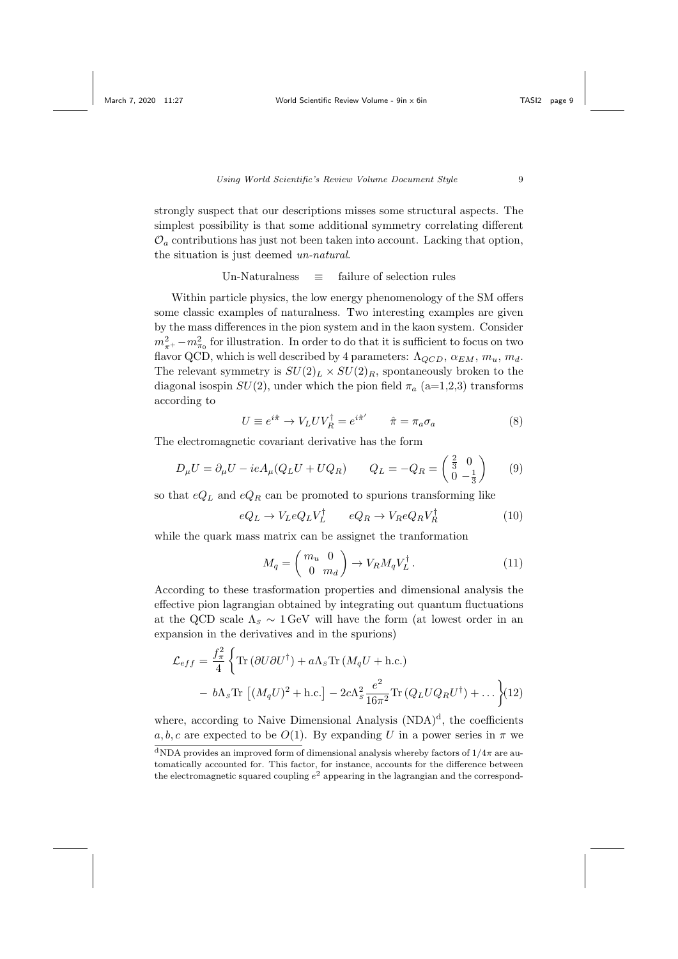strongly suspect that our descriptions misses some structural aspects. The simplest possibility is that some additional symmetry correlating different  $\mathcal{O}_a$  contributions has just not been taken into account. Lacking that option, the situation is just deemed un-natural.

## Un-Naturalness  $\equiv$  failure of selection rules

Within particle physics, the low energy phenomenology of the SM offers some classic examples of naturalness. Two interesting examples are given by the mass differences in the pion system and in the kaon system. Consider  $m_{\pi^+}^2 - m_{\pi_0}^2$  for illustration. In order to do that it is sufficient to focus on two flavor QCD, which is well described by 4 parameters:  $\Lambda_{QCD}$ ,  $\alpha_{EM}$ ,  $m_u$ ,  $m_d$ . The relevant symmetry is  $SU(2)_L \times SU(2)_R$ , spontaneously broken to the diagonal isospin  $SU(2)$ , under which the pion field  $\pi_a$  (a=1,2,3) transforms according to

$$
U \equiv e^{i\hat{\pi}} \to V_L U V_R^{\dagger} = e^{i\hat{\pi}'} \qquad \hat{\pi} = \pi_a \sigma_a \tag{8}
$$

The electromagnetic covariant derivative has the form

$$
D_{\mu}U = \partial_{\mu}U - ieA_{\mu}(Q_{L}U + UQ_{R}) \qquad Q_{L} = -Q_{R} = \begin{pmatrix} \frac{2}{3} & 0\\ 0 & -\frac{1}{3} \end{pmatrix} \qquad (9)
$$

so that  $eQ_L$  and  $eQ_R$  can be promoted to spurions transforming like

$$
eQ_L \to V_L eQ_L V_L^{\dagger} \qquad eQ_R \to V_R eQ_R V_R^{\dagger} \tag{10}
$$

while the quark mass matrix can be assignet the tranformation

$$
M_q = \begin{pmatrix} m_u & 0 \\ 0 & m_d \end{pmatrix} \to V_R M_q V_L^{\dagger} . \tag{11}
$$

According to these trasformation properties and dimensional analysis the effective pion lagrangian obtained by integrating out quantum fluctuations at the QCD scale  $\Lambda_s \sim 1$  GeV will have the form (at lowest order in an expansion in the derivatives and in the spurions)

$$
\mathcal{L}_{eff} = \frac{f_{\pi}^2}{4} \left\{ \text{Tr} \left( \partial U \partial U^{\dagger} \right) + a \Lambda_s \text{Tr} \left( M_q U + \text{h.c.} \right) \right.
$$

$$
- b \Lambda_s \text{Tr} \left[ \left( M_q U \right)^2 + \text{h.c.} \right] - 2c \Lambda_s^2 \frac{e^2}{16\pi^2} \text{Tr} \left( Q_L U Q_R U^{\dagger} \right) + \dots \left. \right\} (12)
$$

where, according to Naive Dimensional Analysis (NDA)<sup>d</sup>, the coefficients a, b, c are expected to be  $O(1)$ . By expanding U in a power series in  $\pi$  we

<sup>&</sup>lt;sup>d</sup>NDA provides an improved form of dimensional analysis whereby factors of  $1/4\pi$  are automatically accounted for. This factor, for instance, accounts for the difference between the electromagnetic squared coupling  $e^2$  appearing in the lagrangian and the correspond-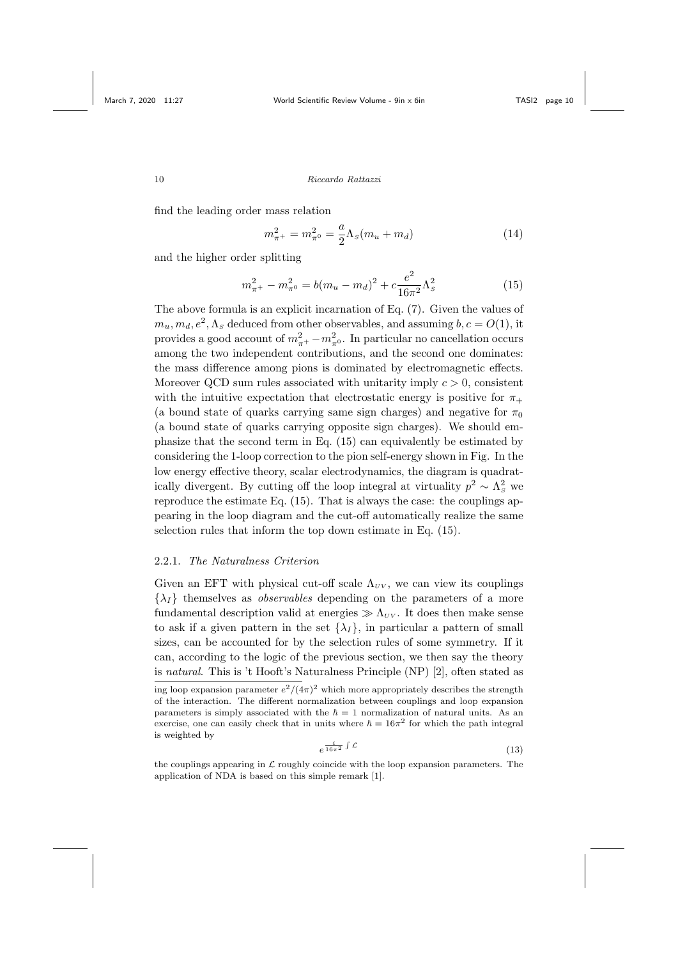find the leading order mass relation

$$
m_{\pi^+}^2 = m_{\pi^0}^2 = \frac{a}{2} \Lambda_s (m_u + m_d) \tag{14}
$$

and the higher order splitting

$$
m_{\pi^+}^2 - m_{\pi^0}^2 = b(m_u - m_d)^2 + c \frac{e^2}{16\pi^2} \Lambda_s^2 \tag{15}
$$

The above formula is an explicit incarnation of Eq. (7). Given the values of  $m_u, m_d, e^2, \Lambda_s$  deduced from other observables, and assuming  $b, c = O(1)$ , it provides a good account of  $m_{\pi^+}^2 - m_{\pi^0}^2$ . In particular no cancellation occurs among the two independent contributions, and the second one dominates: the mass difference among pions is dominated by electromagnetic effects. Moreover QCD sum rules associated with unitarity imply  $c > 0$ , consistent with the intuitive expectation that electrostatic energy is positive for  $\pi_{+}$ (a bound state of quarks carrying same sign charges) and negative for  $\pi_0$ (a bound state of quarks carrying opposite sign charges). We should emphasize that the second term in Eq. (15) can equivalently be estimated by considering the 1-loop correction to the pion self-energy shown in Fig. In the low energy effective theory, scalar electrodynamics, the diagram is quadratically divergent. By cutting off the loop integral at virtuality  $p^2 \sim \Lambda_s^2$  we reproduce the estimate Eq. (15). That is always the case: the couplings appearing in the loop diagram and the cut-off automatically realize the same selection rules that inform the top down estimate in Eq. (15).

### 2.2.1. The Naturalness Criterion

Given an EFT with physical cut-off scale  $\Lambda_{UV}$ , we can view its couplings  $\{\lambda_I\}$  themselves as *observables* depending on the parameters of a more fundamental description valid at energies  $\gg \Lambda_{UV}$ . It does then make sense to ask if a given pattern in the set  $\{\lambda_I\}$ , in particular a pattern of small sizes, can be accounted for by the selection rules of some symmetry. If it can, according to the logic of the previous section, we then say the theory is natural. This is 't Hooft's Naturalness Principle (NP) [2], often stated as ing loop expansion parameter  $e^2/(4\pi)^2$  which more appropriately describes the strength of the interaction. The different normalization between couplings and loop expansion parameters is simply associated with the  $\hbar = 1$  normalization of natural units. As an exercise, one can easily check that in units where  $\hbar = 16\pi^2$  for which the path integral is weighted by

$$
e^{\frac{i}{16\pi^2} \int \mathcal{L}} \tag{13}
$$

the couplings appearing in  $\mathcal L$  roughly coincide with the loop expansion parameters. The application of NDA is based on this simple remark [1].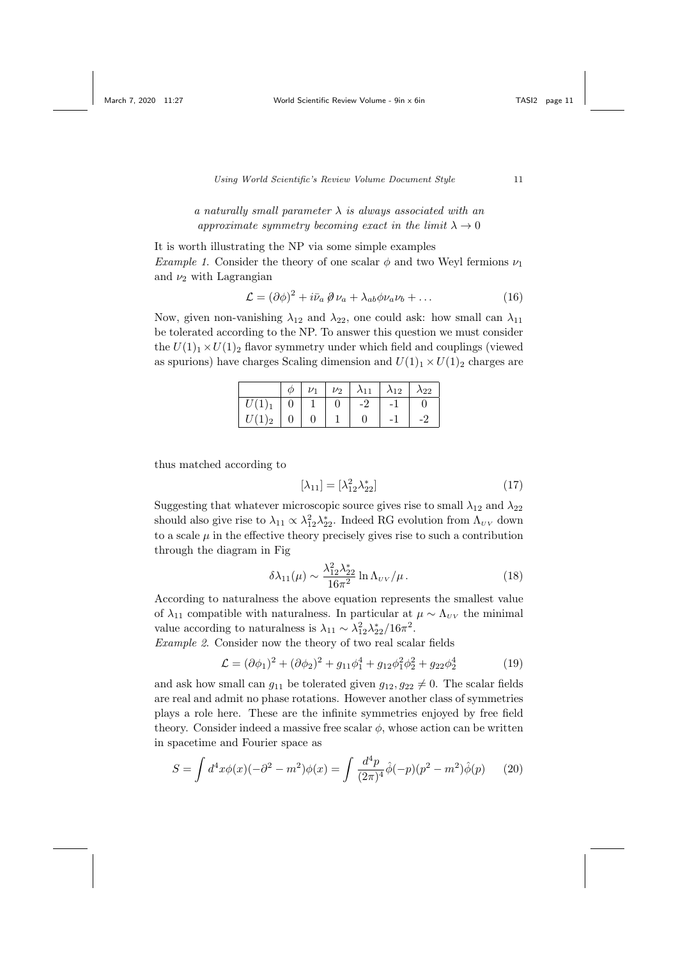# a naturally small parameter  $\lambda$  is always associated with an approximate symmetry becoming exact in the limit  $\lambda \to 0$

It is worth illustrating the NP via some simple examples *Example 1.* Consider the theory of one scalar  $\phi$  and two Weyl fermions  $\nu_1$ and  $\nu_2$  with Lagrangian

$$
\mathcal{L} = (\partial \phi)^2 + i \bar{\nu}_a \, \partial \nu_a + \lambda_{ab} \phi \nu_a \nu_b + \dots \tag{16}
$$

Now, given non-vanishing  $\lambda_{12}$  and  $\lambda_{22}$ , one could ask: how small can  $\lambda_{11}$ be tolerated according to the NP. To answer this question we must consider the  $U(1)_1 \times U(1)_2$  flavor symmetry under which field and couplings (viewed as spurions) have charges Scaling dimension and  $U(1)_1 \times U(1)_2$  charges are

|            | $\varphi$      | $\nu_1$ |    | $\nu_2$ $\lambda_{11}$ $\lambda_{12}$ | $\lambda_{22}$ |
|------------|----------------|---------|----|---------------------------------------|----------------|
| $ U(1)_1 $ |                |         | -2 |                                       |                |
| $U(1)_2$   | $\overline{0}$ |         |    |                                       |                |

thus matched according to

$$
[\lambda_{11}] = [\lambda_{12}^2 \lambda_{22}^*]
$$
 (17)

Suggesting that whatever microscopic source gives rise to small  $\lambda_{12}$  and  $\lambda_{22}$ should also give rise to  $\lambda_{11} \propto \lambda_{12}^2 \lambda_{22}^*$ . Indeed RG evolution from  $\Lambda_{UV}$  down to a scale  $\mu$  in the effective theory precisely gives rise to such a contribution through the diagram in Fig

$$
\delta\lambda_{11}(\mu) \sim \frac{\lambda_{12}^2 \lambda_{22}^*}{16\pi^2} \ln \Lambda_{\scriptscriptstyle UV}/\mu \,. \tag{18}
$$

According to naturalness the above equation represents the smallest value of  $\lambda_{11}$  compatible with naturalness. In particular at  $\mu \sim \Lambda_{UV}$  the minimal value according to naturalness is  $\lambda_{11} \sim \lambda_{12}^2 \lambda_{22}^*/16\pi^2$ .

Example 2. Consider now the theory of two real scalar fields

$$
\mathcal{L} = (\partial \phi_1)^2 + (\partial \phi_2)^2 + g_{11}\phi_1^4 + g_{12}\phi_1^2\phi_2^2 + g_{22}\phi_2^4 \tag{19}
$$

and ask how small can  $g_{11}$  be tolerated given  $g_{12}, g_{22} \neq 0$ . The scalar fields are real and admit no phase rotations. However another class of symmetries plays a role here. These are the infinite symmetries enjoyed by free field theory. Consider indeed a massive free scalar  $\phi$ , whose action can be written in spacetime and Fourier space as

$$
S = \int d^4x \phi(x)(-\partial^2 - m^2)\phi(x) = \int \frac{d^4p}{(2\pi)^4} \hat{\phi}(-p)(p^2 - m^2)\hat{\phi}(p) \tag{20}
$$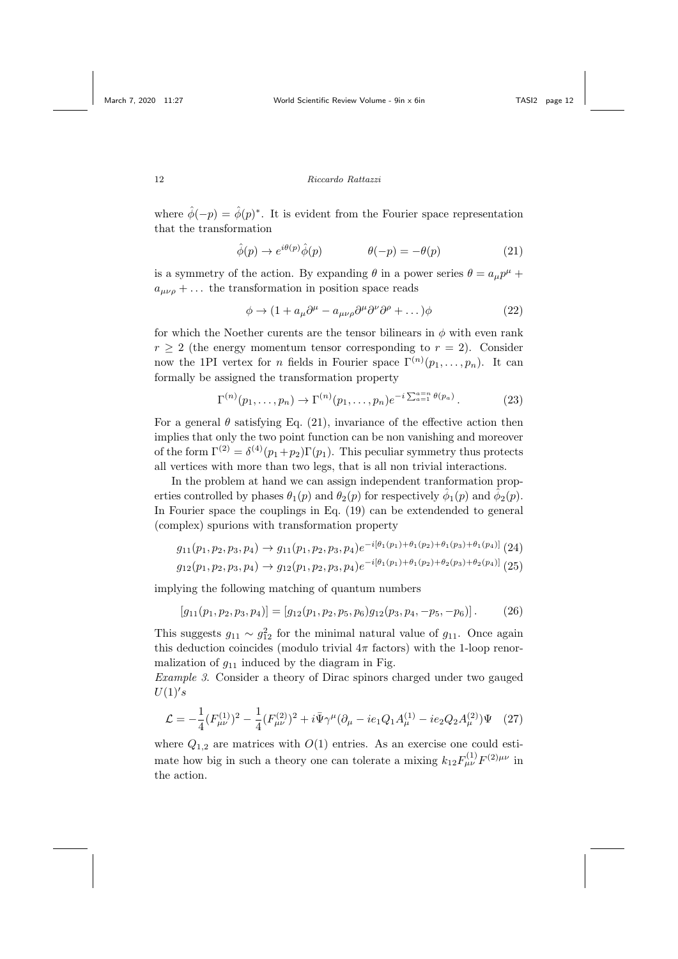where  $\hat{\phi}(-p) = \hat{\phi}(p)^*$ . It is evident from the Fourier space representation that the transformation

$$
\hat{\phi}(p) \to e^{i\theta(p)}\hat{\phi}(p) \qquad \theta(-p) = -\theta(p) \tag{21}
$$

is a symmetry of the action. By expanding  $\theta$  in a power series  $\theta = a_{\mu}p^{\mu} +$  $a_{\mu\nu\rho} + \ldots$  the transformation in position space reads

$$
\phi \to (1 + a_{\mu}\partial^{\mu} - a_{\mu\nu\rho}\partial^{\mu}\partial^{\nu}\partial^{\rho} + \dots)\phi \tag{22}
$$

for which the Noether curents are the tensor bilinears in  $\phi$  with even rank  $r \geq 2$  (the energy momentum tensor corresponding to  $r = 2$ ). Consider now the 1PI vertex for *n* fields in Fourier space  $\Gamma^{(n)}(p_1,\ldots,p_n)$ . It can formally be assigned the transformation property

$$
\Gamma^{(n)}(p_1,\ldots,p_n) \to \Gamma^{(n)}(p_1,\ldots,p_n)e^{-i\sum_{a=1}^{n} \theta(p_a)}.
$$
 (23)

For a general  $\theta$  satisfying Eq. (21), invariance of the effective action then implies that only the two point function can be non vanishing and moreover of the form  $\Gamma^{(2)} = \delta^{(4)}(p_1+p_2)\Gamma(p_1)$ . This peculiar symmetry thus protects all vertices with more than two legs, that is all non trivial interactions.

In the problem at hand we can assign independent tranformation properties controlled by phases  $\theta_1(p)$  and  $\theta_2(p)$  for respectively  $\hat{\phi}_1(p)$  and  $\hat{\phi}_2(p)$ . In Fourier space the couplings in Eq. (19) can be extendended to general (complex) spurions with transformation property

$$
g_{11}(p_1, p_2, p_3, p_4) \rightarrow g_{11}(p_1, p_2, p_3, p_4) e^{-i[\theta_1(p_1) + \theta_1(p_2) + \theta_1(p_3) + \theta_1(p_4)]}
$$
 (24)

$$
g_{12}(p_1, p_2, p_3, p_4) \rightarrow g_{12}(p_1, p_2, p_3, p_4) e^{-i[\theta_1(p_1) + \theta_1(p_2) + \theta_2(p_3) + \theta_2(p_4)]} (25)
$$

implying the following matching of quantum numbers

$$
[g_{11}(p_1, p_2, p_3, p_4)] = [g_{12}(p_1, p_2, p_5, p_6)g_{12}(p_3, p_4, -p_5, -p_6)].
$$
 (26)

This suggests  $g_{11} \sim g_{12}^2$  for the minimal natural value of  $g_{11}$ . Once again this deduction coincides (modulo trivial  $4\pi$  factors) with the 1-loop renormalization of  $g_{11}$  induced by the diagram in Fig.

Example 3. Consider a theory of Dirac spinors charged under two gauged  $U(1)'s$ 

$$
\mathcal{L} = -\frac{1}{4} (F_{\mu\nu}^{(1)})^2 - \frac{1}{4} (F_{\mu\nu}^{(2)})^2 + i \bar{\Psi} \gamma^\mu (\partial_\mu - ie_1 Q_1 A_\mu^{(1)} - ie_2 Q_2 A_\mu^{(2)}) \Psi \quad (27)
$$

where  $Q_{1,2}$  are matrices with  $O(1)$  entries. As an exercise one could estimate how big in such a theory one can tolerate a mixing  $k_{12}F_{\mu\nu}^{(1)}F^{(2)\mu\nu}$  in the action.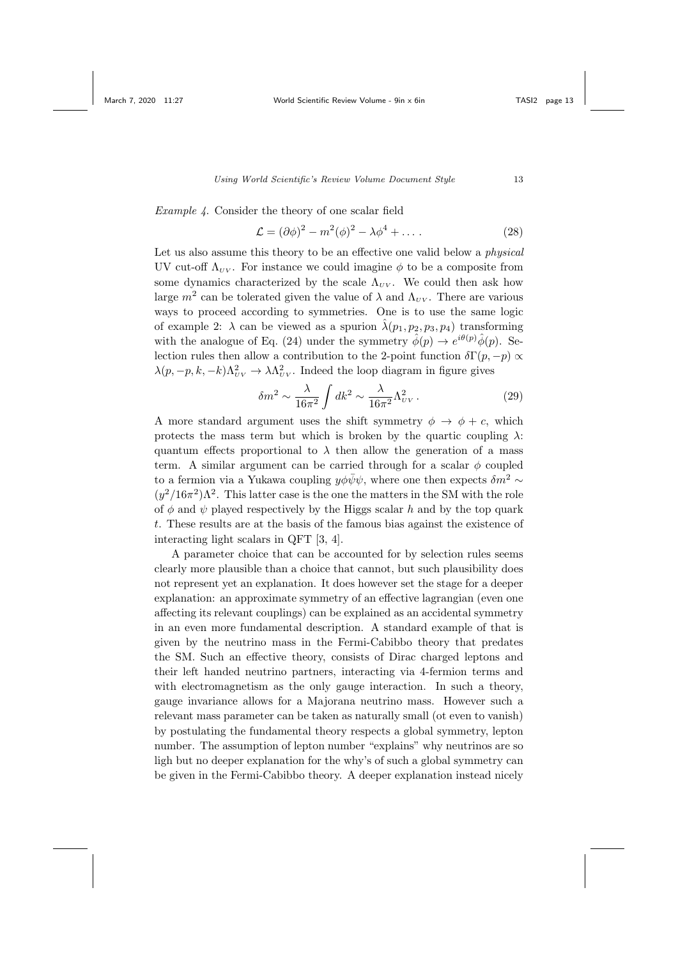Example 4. Consider the theory of one scalar field

$$
\mathcal{L} = (\partial \phi)^2 - m^2(\phi)^2 - \lambda \phi^4 + \dots \tag{28}
$$

Let us also assume this theory to be an effective one valid below a *physical* UV cut-off  $\Lambda_{UV}$ . For instance we could imagine  $\phi$  to be a composite from some dynamics characterized by the scale  $\Lambda_{UV}$ . We could then ask how large  $m^2$  can be tolerated given the value of  $\lambda$  and  $\Lambda_{UV}$ . There are various ways to proceed according to symmetries. One is to use the same logic of example 2:  $\lambda$  can be viewed as a spurion  $\hat{\lambda}(p_1, p_2, p_3, p_4)$  transforming with the analogue of Eq. (24) under the symmetry  $\hat{\phi}(p) \rightarrow e^{i\theta(p)} \hat{\phi}(p)$ . Selection rules then allow a contribution to the 2-point function  $\delta\Gamma(p,-p) \propto$  $\lambda(p, -p, k, -k)\Lambda_{UV}^2 \rightarrow \lambda \Lambda_{UV}^2$ . Indeed the loop diagram in figure gives

$$
\delta m^2 \sim \frac{\lambda}{16\pi^2} \int dk^2 \sim \frac{\lambda}{16\pi^2} \Lambda_{\scriptscriptstyle UV}^2 \,. \tag{29}
$$

A more standard argument uses the shift symmetry  $\phi \rightarrow \phi + c$ , which protects the mass term but which is broken by the quartic coupling  $\lambda$ : quantum effects proportional to  $\lambda$  then allow the generation of a mass term. A similar argument can be carried through for a scalar  $\phi$  coupled to a fermion via a Yukawa coupling  $y\phi\bar{\psi}\psi$ , where one then expects  $\delta m^2 \sim$  $(y^2/16\pi^2)\Lambda^2$ . This latter case is the one the matters in the SM with the role of  $\phi$  and  $\psi$  played respectively by the Higgs scalar h and by the top quark t. These results are at the basis of the famous bias against the existence of interacting light scalars in QFT [3, 4].

A parameter choice that can be accounted for by selection rules seems clearly more plausible than a choice that cannot, but such plausibility does not represent yet an explanation. It does however set the stage for a deeper explanation: an approximate symmetry of an effective lagrangian (even one affecting its relevant couplings) can be explained as an accidental symmetry in an even more fundamental description. A standard example of that is given by the neutrino mass in the Fermi-Cabibbo theory that predates the SM. Such an effective theory, consists of Dirac charged leptons and their left handed neutrino partners, interacting via 4-fermion terms and with electromagnetism as the only gauge interaction. In such a theory, gauge invariance allows for a Majorana neutrino mass. However such a relevant mass parameter can be taken as naturally small (ot even to vanish) by postulating the fundamental theory respects a global symmetry, lepton number. The assumption of lepton number "explains" why neutrinos are so ligh but no deeper explanation for the why's of such a global symmetry can be given in the Fermi-Cabibbo theory. A deeper explanation instead nicely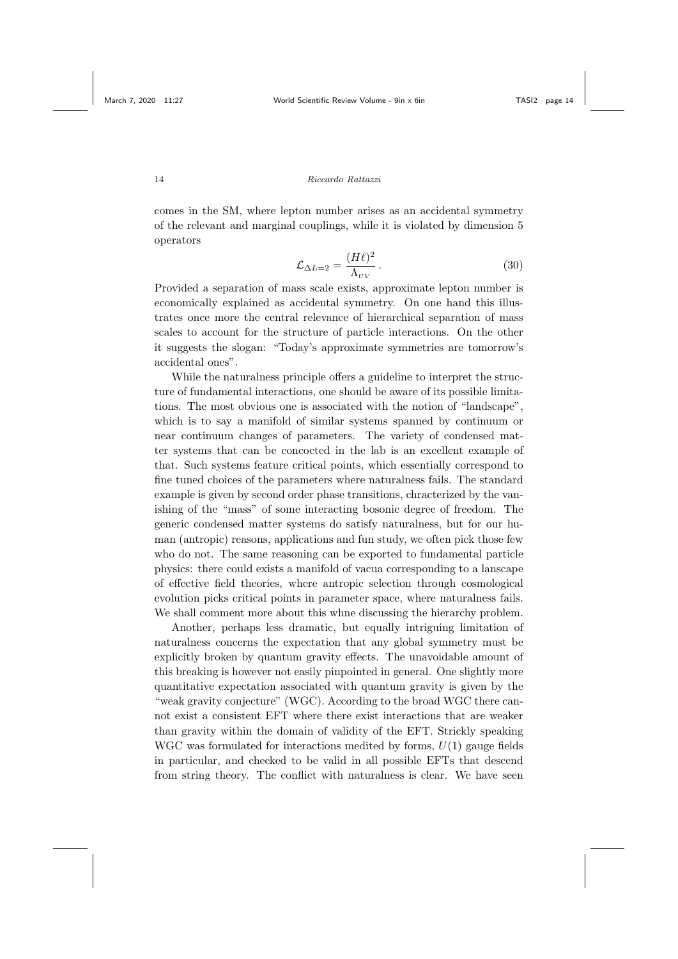comes in the SM, where lepton number arises as an accidental symmetry of the relevant and marginal couplings, while it is violated by dimension 5 operators

$$
\mathcal{L}_{\Delta L=2} = \frac{(H\ell)^2}{\Lambda_{\scriptscriptstyle UV}}\,. \tag{30}
$$

Provided a separation of mass scale exists, approximate lepton number is economically explained as accidental symmetry. On one hand this illustrates once more the central relevance of hierarchical separation of mass scales to account for the structure of particle interactions. On the other it suggests the slogan: "Today's approximate symmetries are tomorrow's accidental ones".

While the naturalness principle offers a guideline to interpret the structure of fundamental interactions, one should be aware of its possible limitations. The most obvious one is associated with the notion of "landscape", which is to say a manifold of similar systems spanned by continuum or near continuum changes of parameters. The variety of condensed matter systems that can be concocted in the lab is an excellent example of that. Such systems feature critical points, which essentially correspond to fine tuned choices of the parameters where naturalness fails. The standard example is given by second order phase transitions, chracterized by the vanishing of the "mass" of some interacting bosonic degree of freedom. The generic condensed matter systems do satisfy naturalness, but for our human (antropic) reasons, applications and fun study, we often pick those few who do not. The same reasoning can be exported to fundamental particle physics: there could exists a manifold of vacua corresponding to a lanscape of effective field theories, where antropic selection through cosmological evolution picks critical points in parameter space, where naturalness fails. We shall comment more about this whne discussing the hierarchy problem.

Another, perhaps less dramatic, but equally intriguing limitation of naturalness concerns the expectation that any global symmetry must be explicitly broken by quantum gravity effects. The unavoidable amount of this breaking is however not easily pinpointed in general. One slightly more quantitative expectation associated with quantum gravity is given by the "weak gravity conjecture" (WGC). According to the broad WGC there cannot exist a consistent EFT where there exist interactions that are weaker than gravity within the domain of validity of the EFT. Strickly speaking WGC was formulated for interactions medited by forms,  $U(1)$  gauge fields in particular, and checked to be valid in all possible EFTs that descend from string theory. The conflict with naturalness is clear. We have seen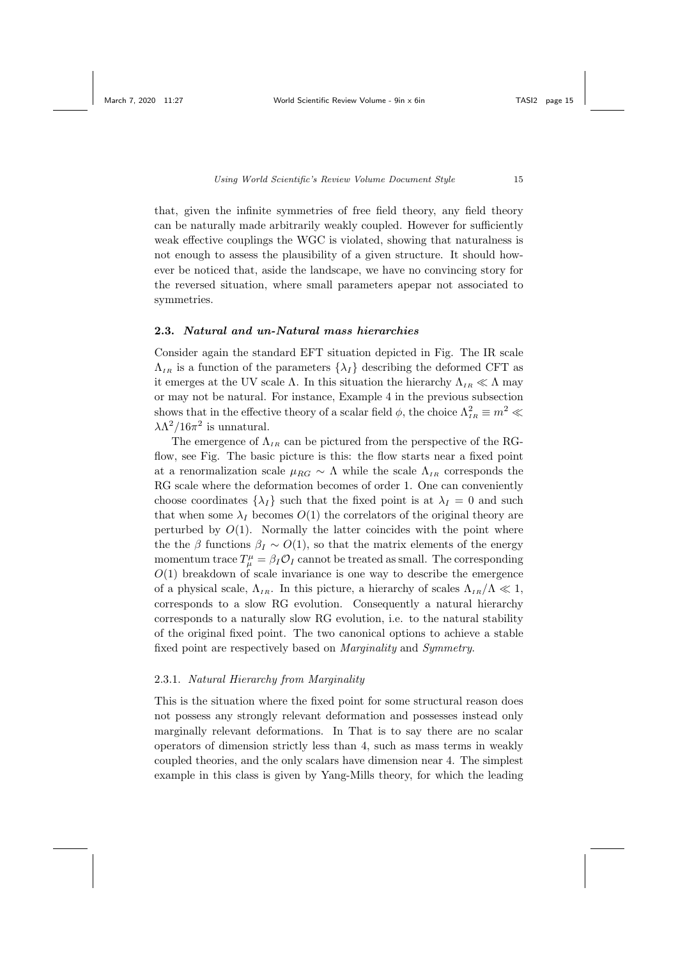that, given the infinite symmetries of free field theory, any field theory can be naturally made arbitrarily weakly coupled. However for sufficiently weak effective couplings the WGC is violated, showing that naturalness is not enough to assess the plausibility of a given structure. It should however be noticed that, aside the landscape, we have no convincing story for the reversed situation, where small parameters apepar not associated to symmetries.

## 2.3. Natural and un-Natural mass hierarchies

Consider again the standard EFT situation depicted in Fig. The IR scale  $\Lambda_{IR}$  is a function of the parameters  $\{\lambda_I\}$  describing the deformed CFT as it emerges at the UV scale Λ. In this situation the hierarchy  $\Lambda_{IR} \ll \Lambda$  may or may not be natural. For instance, Example 4 in the previous subsection shows that in the effective theory of a scalar field  $\phi$ , the choice  $\Lambda_{IR}^2 \equiv m^2 \ll$  $\lambda \Lambda^2/16\pi^2$  is unnatural.

The emergence of  $\Lambda_{IR}$  can be pictured from the perspective of the RGflow, see Fig. The basic picture is this: the flow starts near a fixed point at a renormalization scale  $\mu_{RG} \sim \Lambda$  while the scale  $\Lambda_{IB}$  corresponds the RG scale where the deformation becomes of order 1. One can conveniently choose coordinates  $\{\lambda_I\}$  such that the fixed point is at  $\lambda_I = 0$  and such that when some  $\lambda_I$  becomes  $O(1)$  the correlators of the original theory are perturbed by  $O(1)$ . Normally the latter coincides with the point where the the β functions  $\beta_I \sim O(1)$ , so that the matrix elements of the energy momentum trace  $T^{\mu}_{\mu} = \beta_I \mathcal{O}_I$  cannot be treated as small. The corresponding  $O(1)$  breakdown of scale invariance is one way to describe the emergence of a physical scale,  $\Lambda_{IR}$ . In this picture, a hierarchy of scales  $\Lambda_{IR}/\Lambda \ll 1$ , corresponds to a slow RG evolution. Consequently a natural hierarchy corresponds to a naturally slow RG evolution, i.e. to the natural stability of the original fixed point. The two canonical options to achieve a stable fixed point are respectively based on Marginality and Symmetry.

## 2.3.1. Natural Hierarchy from Marginality

This is the situation where the fixed point for some structural reason does not possess any strongly relevant deformation and possesses instead only marginally relevant deformations. In That is to say there are no scalar operators of dimension strictly less than 4, such as mass terms in weakly coupled theories, and the only scalars have dimension near 4. The simplest example in this class is given by Yang-Mills theory, for which the leading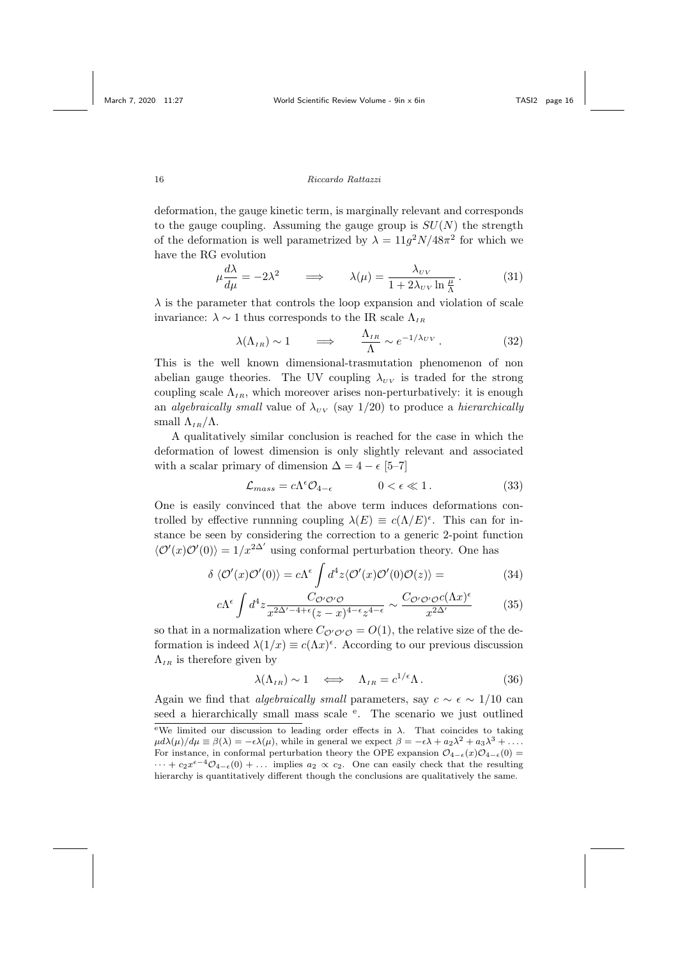deformation, the gauge kinetic term, is marginally relevant and corresponds to the gauge coupling. Assuming the gauge group is  $SU(N)$  the strength of the deformation is well parametrized by  $\lambda = 11g^2N/48\pi^2$  for which we have the RG evolution

$$
\mu \frac{d\lambda}{d\mu} = -2\lambda^2 \qquad \Longrightarrow \qquad \lambda(\mu) = \frac{\lambda_{\scriptscriptstyle UV}}{1 + 2\lambda_{\scriptscriptstyle UV} \ln \frac{\mu}{\Lambda}}. \tag{31}
$$

 $\lambda$  is the parameter that controls the loop expansion and violation of scale invariance:  $\lambda \sim 1$  thus corresponds to the IR scale  $\Lambda_{IR}$ 

$$
\lambda(\Lambda_{IR}) \sim 1 \qquad \Longrightarrow \qquad \frac{\Lambda_{IR}}{\Lambda} \sim e^{-1/\lambda_{UV}} \,. \tag{32}
$$

This is the well known dimensional-trasmutation phenomenon of non abelian gauge theories. The UV coupling  $\lambda_{UV}$  is traded for the strong coupling scale  $\Lambda_{IB}$ , which moreover arises non-perturbatively: it is enough an algebraically small value of  $\lambda_{UV}$  (say 1/20) to produce a hierarchically small  $\Lambda_{IB}/\Lambda$ .

A qualitatively similar conclusion is reached for the case in which the deformation of lowest dimension is only slightly relevant and associated with a scalar primary of dimension  $\Delta = 4 - \epsilon$  [5–7]

$$
\mathcal{L}_{mass} = c\Lambda^{\epsilon}\mathcal{O}_{4-\epsilon} \qquad \qquad 0 < \epsilon \ll 1. \tag{33}
$$

One is easily convinced that the above term induces deformations controlled by effective runnning coupling  $\lambda(E) \equiv c(\Lambda/E)^{\epsilon}$ . This can for instance be seen by considering the correction to a generic 2-point function  $\langle \mathcal{O}'(x) \mathcal{O}'(0) \rangle = 1/x^{2\Delta'}$  using conformal perturbation theory. One has

$$
\delta \langle \mathcal{O}'(x)\mathcal{O}'(0)\rangle = c\Lambda^{\epsilon} \int d^{4}z \langle \mathcal{O}'(x)\mathcal{O}'(0)\mathcal{O}(z)\rangle =
$$
\n(34)

$$
c\Lambda^{\epsilon} \int d^4 z \frac{C_{\mathcal{O}'\mathcal{O}'\mathcal{O}}}{x^{2\Delta'-4+\epsilon}(z-x)^{4-\epsilon}z^{4-\epsilon}} \sim \frac{C_{\mathcal{O}'\mathcal{O}'\mathcal{O}}c(\Lambda x)^{\epsilon}}{x^{2\Delta'}} \tag{35}
$$

so that in a normalization where  $C_{\mathcal{O}'\mathcal{O}'\mathcal{O}} = O(1)$ , the relative size of the deformation is indeed  $\lambda(1/x) \equiv c(\Lambda x)^{\epsilon}$ . According to our previous discussion  $\Lambda_{IR}$  is therefore given by

$$
\lambda(\Lambda_{IR}) \sim 1 \quad \Longleftrightarrow \quad \Lambda_{IR} = c^{1/\epsilon} \Lambda \,. \tag{36}
$$

Again we find that *algebraically small* parameters, say  $c \sim \epsilon \sim 1/10$  can seed a hierarchically small mass scale <sup>e</sup>. The scenario we just outlined  $e$ <sup>e</sup>We limited our discussion to leading order effects in λ. That coincides to taking  $\mu d\lambda(\mu)/d\mu \equiv \beta(\lambda) = -\epsilon \lambda(\mu)$ , while in general we expect  $\beta = -\epsilon \lambda + a_2 \lambda^2 + a_3 \lambda^3 + \dots$ For instance, in conformal perturbation theory the OPE expansion  $\mathcal{O}_{4-\epsilon}(x)\mathcal{O}_{4-\epsilon}(0)$  =  $\cdots + c_2 x^{\epsilon-4} \mathcal{O}_{4-\epsilon}(0) + \ldots$  implies  $a_2 \propto c_2$ . One can easily check that the resulting hierarchy is quantitatively different though the conclusions are qualitatively the same.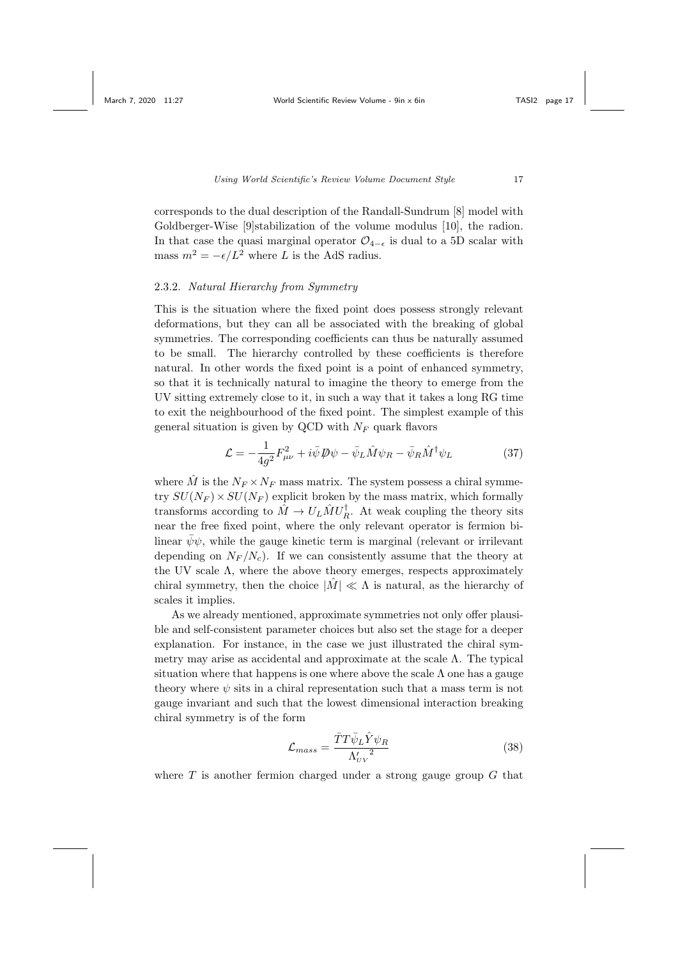corresponds to the dual description of the Randall-Sundrum [8] model with Goldberger-Wise [9]stabilization of the volume modulus [10], the radion. In that case the quasi marginal operator  $\mathcal{O}_{4-\epsilon}$  is dual to a 5D scalar with mass  $m^2 = -\epsilon/L^2$  where L is the AdS radius.

# 2.3.2. Natural Hierarchy from Symmetry

This is the situation where the fixed point does possess strongly relevant deformations, but they can all be associated with the breaking of global symmetries. The corresponding coefficients can thus be naturally assumed to be small. The hierarchy controlled by these coefficients is therefore natural. In other words the fixed point is a point of enhanced symmetry, so that it is technically natural to imagine the theory to emerge from the UV sitting extremely close to it, in such a way that it takes a long RG time to exit the neighbourhood of the fixed point. The simplest example of this general situation is given by QCD with  $N_F$  quark flavors

$$
\mathcal{L} = -\frac{1}{4g^2} F_{\mu\nu}^2 + i\bar{\psi} \mathcal{D}\psi - \bar{\psi}_L \hat{M}\psi_R - \bar{\psi}_R \hat{M}^\dagger \psi_L \tag{37}
$$

where  $\hat{M}$  is the  $N_F \times N_F$  mass matrix. The system possess a chiral symmetry  $SU(N_F) \times SU(N_F)$  explicit broken by the mass matrix, which formally transforms according to  $\hat{M} \to U_L \hat{M} U_R^{\dagger}$ . At weak coupling the theory sits near the free fixed point, where the only relevant operator is fermion bilinear  $\bar{\psi}\psi$ , while the gauge kinetic term is marginal (relevant or irrilevant depending on  $N_F / N_c$ . If we can consistently assume that the theory at the UV scale  $\Lambda$ , where the above theory emerges, respects approximately chiral symmetry, then the choice  $|\tilde{M}| \ll \Lambda$  is natural, as the hierarchy of scales it implies.

As we already mentioned, approximate symmetries not only offer plausible and self-consistent parameter choices but also set the stage for a deeper explanation. For instance, in the case we just illustrated the chiral symmetry may arise as accidental and approximate at the scale  $\Lambda$ . The typical situation where that happens is one where above the scale  $\Lambda$  one has a gauge theory where  $\psi$  sits in a chiral representation such that a mass term is not gauge invariant and such that the lowest dimensional interaction breaking chiral symmetry is of the form

$$
\mathcal{L}_{mass} = \frac{\bar{T}T\bar{\psi}_L\hat{Y}\psi_R}{\Lambda'_{UV}^2} \tag{38}
$$

where  $T$  is another fermion charged under a strong gauge group  $G$  that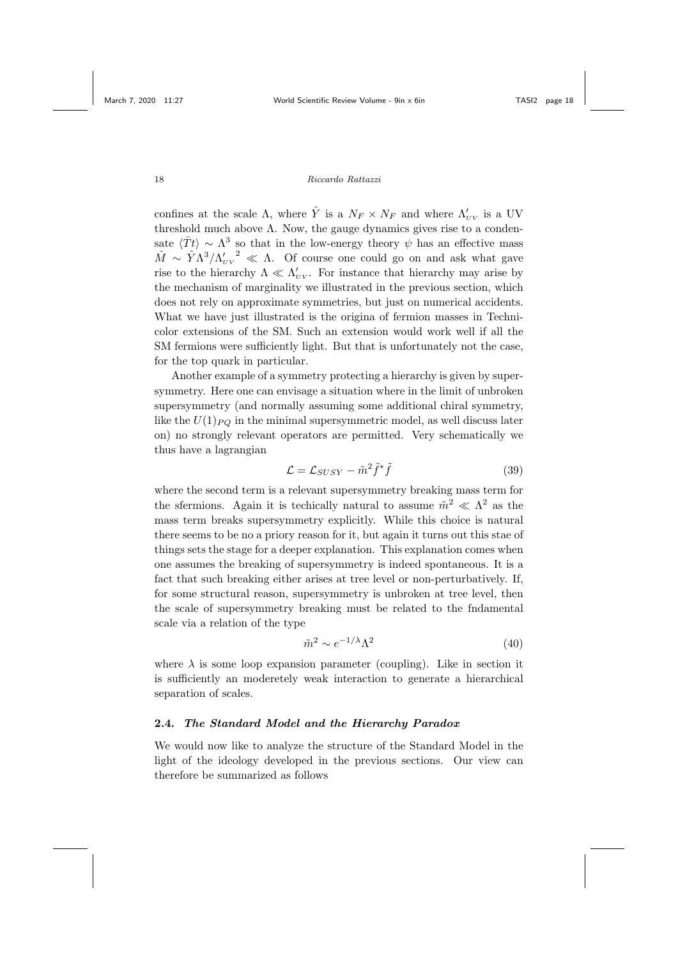confines at the scale  $\Lambda$ , where  $\hat{Y}$  is a  $N_F \times N_F$  and where  $\Lambda'_{UV}$  is a UV threshold much above  $\Lambda$ . Now, the gauge dynamics gives rise to a condensate  $\langle \bar{T}t \rangle \sim \Lambda^3$  so that in the low-energy theory  $\psi$  has an effective mass  $\hat{M} \sim \hat{Y} \Lambda^3 / {\Lambda_{UV}'}^2 \ll \Lambda$ . Of course one could go on and ask what gave rise to the hierarchy  $\Lambda \ll \Lambda_{UV}$ . For instance that hierarchy may arise by the mechanism of marginality we illustrated in the previous section, which does not rely on approximate symmetries, but just on numerical accidents. What we have just illustrated is the origina of fermion masses in Technicolor extensions of the SM. Such an extension would work well if all the SM fermions were sufficiently light. But that is unfortunately not the case, for the top quark in particular.

Another example of a symmetry protecting a hierarchy is given by supersymmetry. Here one can envisage a situation where in the limit of unbroken supersymmetry (and normally assuming some additional chiral symmetry, like the  $U(1)_{PO}$  in the minimal supersymmetric model, as well discuss later on) no strongly relevant operators are permitted. Very schematically we thus have a lagrangian

$$
\mathcal{L} = \mathcal{L}_{SUSY} - \tilde{m}^2 \tilde{f}^* \tilde{f}
$$
 (39)

where the second term is a relevant supersymmetry breaking mass term for the sfermions. Again it is techically natural to assume  $\tilde{m}^2 \ll \Lambda^2$  as the mass term breaks supersymmetry explicitly. While this choice is natural there seems to be no a priory reason for it, but again it turns out this stae of things sets the stage for a deeper explanation. This explanation comes when one assumes the breaking of supersymmetry is indeed spontaneous. It is a fact that such breaking either arises at tree level or non-perturbatively. If, for some structural reason, supersymmetry is unbroken at tree level, then the scale of supersymmetry breaking must be related to the fndamental scale via a relation of the type

$$
\tilde{m}^2 \sim e^{-1/\lambda} \Lambda^2 \tag{40}
$$

where  $\lambda$  is some loop expansion parameter (coupling). Like in section it is sufficiently an moderetely weak interaction to generate a hierarchical separation of scales.

# 2.4. The Standard Model and the Hierarchy Paradox

We would now like to analyze the structure of the Standard Model in the light of the ideology developed in the previous sections. Our view can therefore be summarized as follows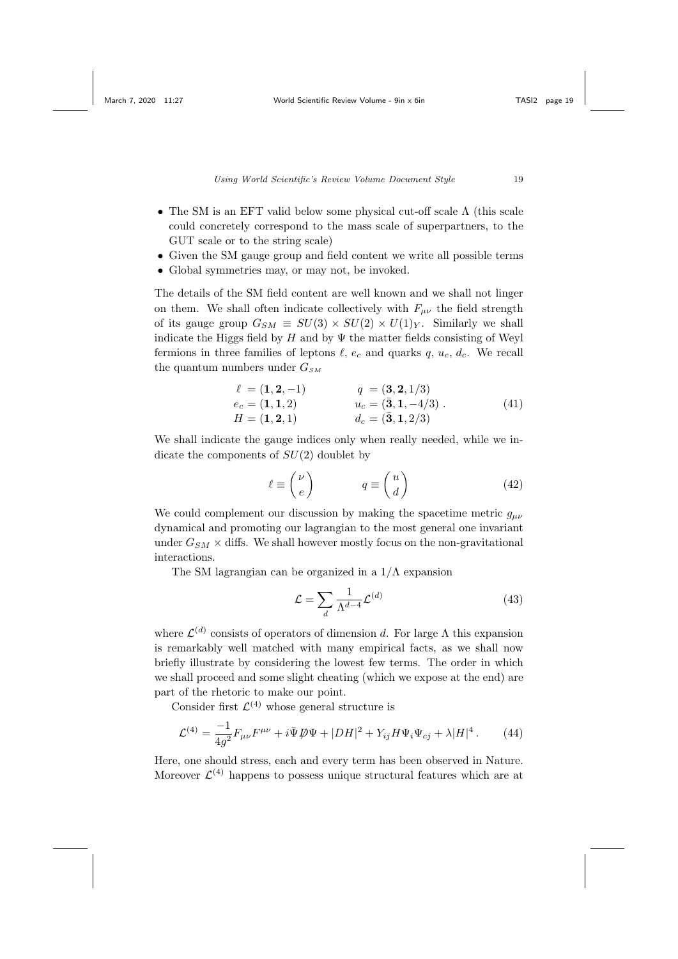- The SM is an EFT valid below some physical cut-off scale Λ (this scale could concretely correspond to the mass scale of superpartners, to the GUT scale or to the string scale)
- Given the SM gauge group and field content we write all possible terms
- Global symmetries may, or may not, be invoked.

The details of the SM field content are well known and we shall not linger on them. We shall often indicate collectively with  $F_{\mu\nu}$  the field strength of its gauge group  $G_{SM} \equiv SU(3) \times SU(2) \times U(1)_Y$ . Similarly we shall indicate the Higgs field by H and by  $\Psi$  the matter fields consisting of Weyl fermions in three families of leptons  $\ell$ ,  $e_c$  and quarks  $q$ ,  $u_c$ ,  $d_c$ . We recall the quantum numbers under  $G_{SM}$ 

$$
\ell = (1, 2, -1) \qquad q = (3, 2, 1/3) \n ec = (1, 1, 2) \qquad uc = (\bar{3}, 1, -4/3) . \n H = (1, 2, 1) \qquad dc = (\bar{3}, 1, 2/3)
$$
\n(41)

We shall indicate the gauge indices only when really needed, while we indicate the components of  $SU(2)$  doublet by

$$
\ell \equiv \binom{\nu}{e} \qquad \qquad q \equiv \binom{u}{d} \tag{42}
$$

We could complement our discussion by making the spacetime metric  $q_{\mu\nu}$ dynamical and promoting our lagrangian to the most general one invariant under  $G_{SM}$   $\times$  diffs. We shall however mostly focus on the non-gravitational interactions.

The SM lagrangian can be organized in a  $1/\Lambda$  expansion

$$
\mathcal{L} = \sum_{d} \frac{1}{\Lambda^{d-4}} \mathcal{L}^{(d)} \tag{43}
$$

where  $\mathcal{L}^{(d)}$  consists of operators of dimension d. For large  $\Lambda$  this expansion is remarkably well matched with many empirical facts, as we shall now briefly illustrate by considering the lowest few terms. The order in which we shall proceed and some slight cheating (which we expose at the end) are part of the rhetoric to make our point.

Consider first  $\mathcal{L}^{(4)}$  whose general structure is

$$
\mathcal{L}^{(4)} = \frac{-1}{4g^2} F_{\mu\nu} F^{\mu\nu} + i \bar{\Psi} \, \not{\!\!\!D} \Psi + |DH|^2 + Y_{ij} H \Psi_i \Psi_{cj} + \lambda |H|^4 \,. \tag{44}
$$

Here, one should stress, each and every term has been observed in Nature. Moreover  $\mathcal{L}^{(4)}$  happens to possess unique structural features which are at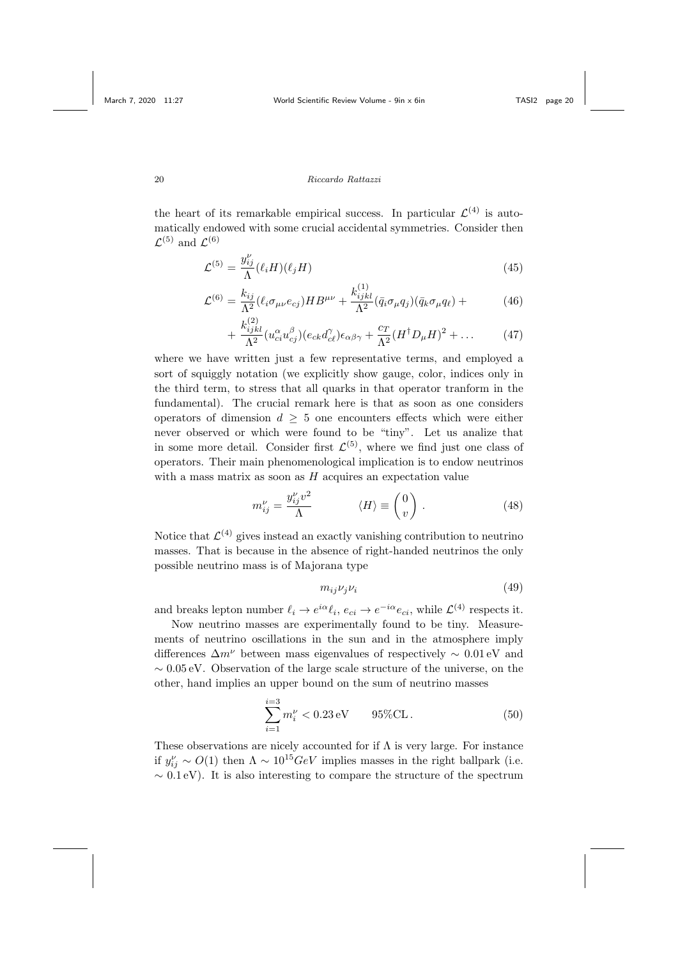the heart of its remarkable empirical success. In particular  $\mathcal{L}^{(4)}$  is automatically endowed with some crucial accidental symmetries. Consider then  $\mathcal{L}^{(5)}$  and  $\mathcal{L}^{(6)}$ 

$$
\mathcal{L}^{(5)} = \frac{y_{ij}^{\nu}}{\Lambda} (\ell_i H)(\ell_j H) \tag{45}
$$

$$
\mathcal{L}^{(6)} = \frac{k_{ij}}{\Lambda^2} (\ell_i \sigma_{\mu\nu} e_{cj}) H B^{\mu\nu} + \frac{k_{ijkl}^{(1)}}{\Lambda^2} (\bar{q}_i \sigma_{\mu} q_j) (\bar{q}_k \sigma_{\mu} q_\ell) + \tag{46}
$$

$$
+\frac{k_{ijkl}^{(2)}}{\Lambda^2}(u_{ci}^{\alpha}u_{cj}^{\beta})(e_{ck}d_{c\ell}^{\gamma})\epsilon_{\alpha\beta\gamma}+\frac{c_T}{\Lambda^2}(H^{\dagger}D_{\mu}H)^2+\dots \qquad (47)
$$

where we have written just a few representative terms, and employed a sort of squiggly notation (we explicitly show gauge, color, indices only in the third term, to stress that all quarks in that operator tranform in the fundamental). The crucial remark here is that as soon as one considers operators of dimension  $d > 5$  one encounters effects which were either never observed or which were found to be "tiny". Let us analize that in some more detail. Consider first  $\mathcal{L}^{(5)}$ , where we find just one class of operators. Their main phenomenological implication is to endow neutrinos with a mass matrix as soon as  $H$  acquires an expectation value

$$
m_{ij}^{\nu} = \frac{y_{ij}^{\nu} v^2}{\Lambda} \qquad \langle H \rangle \equiv \begin{pmatrix} 0 \\ v \end{pmatrix} . \tag{48}
$$

Notice that  $\mathcal{L}^{(4)}$  gives instead an exactly vanishing contribution to neutrino masses. That is because in the absence of right-handed neutrinos the only possible neutrino mass is of Majorana type

$$
m_{ij}\nu_j\nu_i\tag{49}
$$

and breaks lepton number  $\ell_i \to e^{i\alpha} \ell_i$ ,  $e_{ci} \to e^{-i\alpha} e_{ci}$ , while  $\mathcal{L}^{(4)}$  respects it.

Now neutrino masses are experimentally found to be tiny. Measurements of neutrino oscillations in the sun and in the atmosphere imply differences  $\Delta m^{\nu}$  between mass eigenvalues of respectively  $\sim 0.01$  eV and  $\sim 0.05$  eV. Observation of the large scale structure of the universe, on the other, hand implies an upper bound on the sum of neutrino masses

$$
\sum_{i=1}^{i=3} m_i^{\nu} < 0.23 \,\text{eV} \qquad 95\%\text{CL} \,. \tag{50}
$$

These observations are nicely accounted for if  $\Lambda$  is very large. For instance if  $y_{ij}^{\nu} \sim O(1)$  then  $\Lambda \sim 10^{15} \text{GeV}$  implies masses in the right ballpark (i.e.  $\sim 0.1 \,\text{eV}$ ). It is also interesting to compare the structure of the spectrum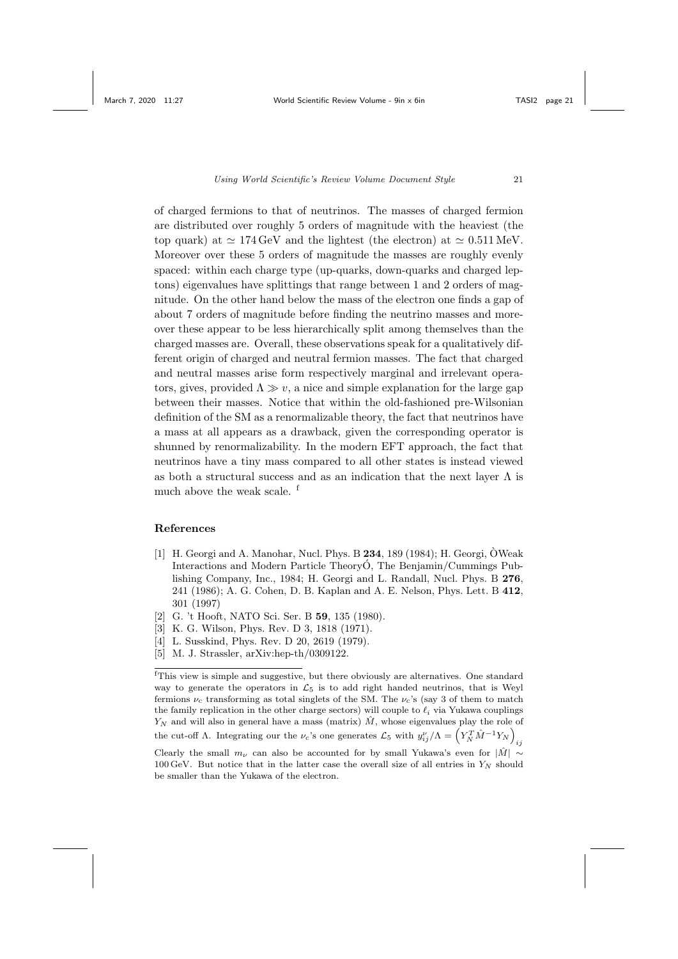of charged fermions to that of neutrinos. The masses of charged fermion are distributed over roughly 5 orders of magnitude with the heaviest (the top quark) at  $\simeq 174 \,\text{GeV}$  and the lightest (the electron) at  $\simeq 0.511 \,\text{MeV}$ . Moreover over these 5 orders of magnitude the masses are roughly evenly spaced: within each charge type (up-quarks, down-quarks and charged leptons) eigenvalues have splittings that range between 1 and 2 orders of magnitude. On the other hand below the mass of the electron one finds a gap of about 7 orders of magnitude before finding the neutrino masses and moreover these appear to be less hierarchically split among themselves than the charged masses are. Overall, these observations speak for a qualitatively different origin of charged and neutral fermion masses. The fact that charged and neutral masses arise form respectively marginal and irrelevant operators, gives, provided  $\Lambda \gg v$ , a nice and simple explanation for the large gap between their masses. Notice that within the old-fashioned pre-Wilsonian definition of the SM as a renormalizable theory, the fact that neutrinos have a mass at all appears as a drawback, given the corresponding operator is shunned by renormalizability. In the modern EFT approach, the fact that neutrinos have a tiny mass compared to all other states is instead viewed as both a structural success and as an indication that the next layer  $\Lambda$  is much above the weak scale. <sup>f</sup>

## References

- [1] H. Georgi and A. Manohar, Nucl. Phys. B  $234$ , 189 (1984); H. Georgi, OWeak Interactions and Modern Particle Theory<sub>O</sub>, The Benjamin/Cummings Publishing Company, Inc., 1984; H. Georgi and L. Randall, Nucl. Phys. B 276, 241 (1986); A. G. Cohen, D. B. Kaplan and A. E. Nelson, Phys. Lett. B 412, 301 (1997)
- [2] G. 't Hooft, NATO Sci. Ser. B 59, 135 (1980).
- [3] K. G. Wilson, Phys. Rev. D 3, 1818 (1971).
- [4] L. Susskind, Phys. Rev. D 20, 2619 (1979).
- [5] M. J. Strassler, arXiv:hep-th/0309122.

 $\mbox{ }^{\mbox{\small{f}}}\mbox{This view is simple and suggestive, but there obviously are alternatives. One standard$ way to generate the operators in  $\mathcal{L}_5$  is to add right handed neutrinos, that is Weyl fermions  $\nu_c$  transforming as total singlets of the SM. The  $\nu_c$ 's (say 3 of them to match the family replication in the other charge sectors) will couple to  $\ell_i$  via Yukawa couplings  $Y_N$  and will also in general have a mass (matrix)  $\hat{M}$ , whose eigenvalues play the role of the cut-off  $\Lambda$ . Integrating our the  $\nu_c$ 's one generates  $\mathcal{L}_5$  with  $y_{ij}^{\nu}/\Lambda = \left(Y_N^T \hat{M}^{-1} Y_N\right)$ ij Clearly the small  $m_{\nu}$  can also be accounted for by small Yukawa's even for  $|\hat{M}| \sim$ 

 $100 \,\text{GeV}$ . But notice that in the latter case the overall size of all entries in  $Y_N$  should be smaller than the Yukawa of the electron.